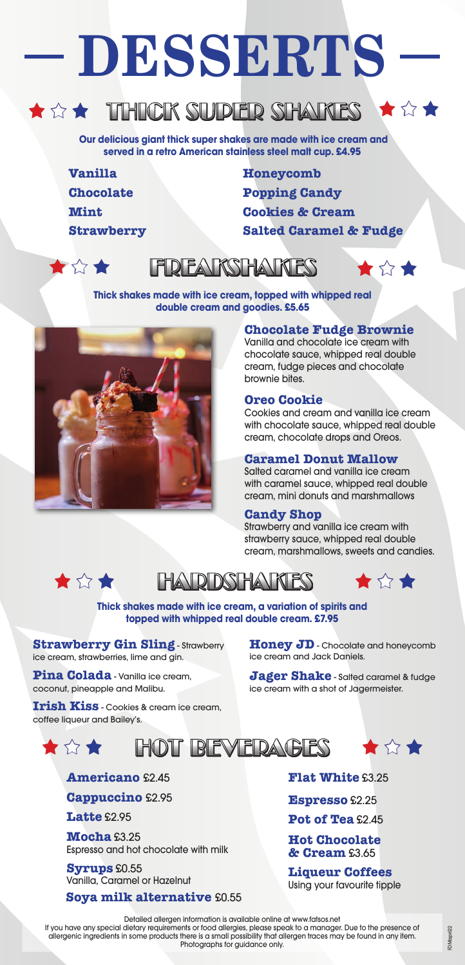# **DESSERTS**

## $\star$   $\rightsquigarrow$   $\star$  THICK SUPER SHAKES  $\star$   $\rightsquigarrow$

 **Our delicious giant thick super shakes are made with ice cream and served in a retro American stainless steel malt cup. £4.95**

- **Vanilla**
- **Chocolate**

**Mint**

**Strawberry**

**Honeycomb Popping Candy Cookies & Cream Salted Caramel & Fudge**



# **FREAKSHAKES**



**Thick shakes made with ice cream, topped with whipped real double cream and goodies. £5.65**

#### **Chocolate Fudge Brownie**

Vanilla and chocolate ice cream with chocolate sauce, whipped real double cream, fudge pieces and chocolate brownie bites.

#### **Oreo Cookie**

Cookies and cream and vanilla ice cream with chocolate sauce, whipped real double cream, chocolate drops and Oreos.

#### **Caramel Donut Mallow**

Salted caramel and vanilla ice cream with caramel sauce, whipped real double cream, mini donuts and marshmallows

#### **Candy Shop**

Strawberry and vanilla ice cream with strawberry sauce, whipped real double cream, marshmallows, sweets and candies.



### I DI DISI HAN KI FSS



**Thick shakes made with ice cream, a variation of spirits and topped with whipped real double cream. £7.95**

**Strawberry Gin Sling** - Strawberry ice cream, strawberries, lime and gin.

**Pina Colada** - Vanilla ice cream, coconut, pineapple and Malibu.

**Irish Kiss** - Cookies & cream ice cream, coffee liqueur and Bailey's.

**Honey JD** - Chocolate and honeycomb ice cream and Jack Daniels.

**Jager Shake** - Salted caramel & fudge ice cream with a shot of Jagermeister.



**Americano** £2.45

**Cappuccino** £2.95

**Latte** £2.95

**Mocha** £3.25 Espresso and hot chocolate with milk

**Syrups** £0.55 Vanilla, Caramel or Hazelnut

**Soya milk alternative** £0.55

**Flat White** £3.25

**Espresso** £2.25

**Pot of Tea** £2.45

#### **Hot Chocolate & Cream** £3.65

**Liqueur Coffees** Using your favourite tipple

Detailed allergen information is available online at www.fatsos.net If you have any special dietary requirements or food allergies, please speak to a manager. Due to the presence of allergenic ingredients in some products there is a small possibility that allergen traces may be found in any item. Photographs for guidance only.